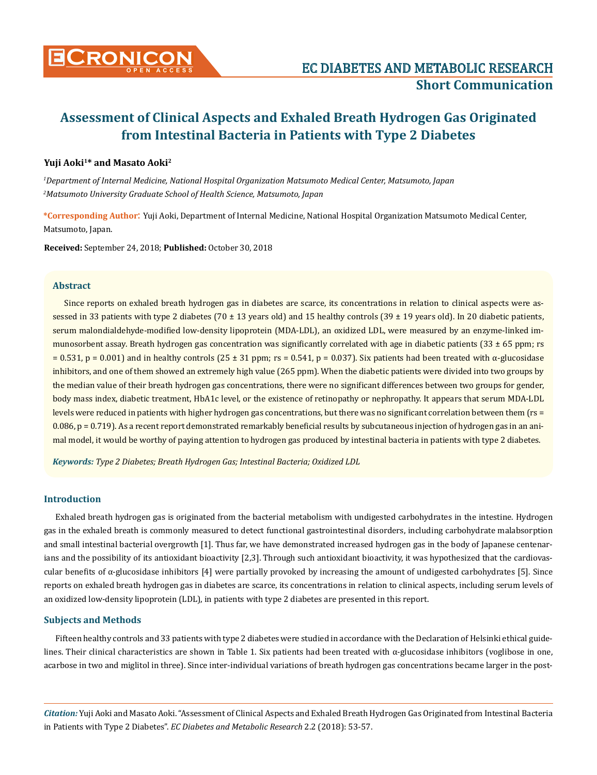

## **Yuji Aoki1\* and Masato Aoki2**

*1 Department of Internal Medicine, National Hospital Organization Matsumoto Medical Center, Matsumoto, Japan 2 Matsumoto University Graduate School of Health Science, Matsumoto, Japan*

**\*Corresponding Author**: Yuji Aoki, Department of Internal Medicine, National Hospital Organization Matsumoto Medical Center, Matsumoto, Japan.

**Received:** September 24, 2018; **Published:** October 30, 2018

#### **Abstract**

Since reports on exhaled breath hydrogen gas in diabetes are scarce, its concentrations in relation to clinical aspects were assessed in 33 patients with type 2 diabetes (70  $\pm$  13 years old) and 15 healthy controls (39  $\pm$  19 years old). In 20 diabetic patients, serum malondialdehyde-modified low-density lipoprotein (MDA-LDL), an oxidized LDL, were measured by an enzyme-linked immunosorbent assay. Breath hydrogen gas concentration was significantly correlated with age in diabetic patients  $(33 \pm 65)$  ppm; rs  $= 0.531$ , p = 0.001) and in healthy controls (25 ± 31 ppm; rs = 0.541, p = 0.037). Six patients had been treated with  $\alpha$ -glucosidase inhibitors, and one of them showed an extremely high value (265 ppm). When the diabetic patients were divided into two groups by the median value of their breath hydrogen gas concentrations, there were no significant differences between two groups for gender, body mass index, diabetic treatment, HbA1c level, or the existence of retinopathy or nephropathy. It appears that serum MDA-LDL levels were reduced in patients with higher hydrogen gas concentrations, but there was no significant correlation between them (rs = 0.086, p = 0.719). As a recent report demonstrated remarkably beneficial results by subcutaneous injection of hydrogen gas in an animal model, it would be worthy of paying attention to hydrogen gas produced by intestinal bacteria in patients with type 2 diabetes.

*Keywords: Type 2 Diabetes; Breath Hydrogen Gas; Intestinal Bacteria; Oxidized LDL*

## **Introduction**

Exhaled breath hydrogen gas is originated from the bacterial metabolism with undigested carbohydrates in the intestine. Hydrogen gas in the exhaled breath is commonly measured to detect functional gastrointestinal disorders, including carbohydrate malabsorption and small intestinal bacterial overgrowth [1]. Thus far, we have demonstrated increased hydrogen gas in the body of Japanese centenarians and the possibility of its antioxidant bioactivity [2,3]. Through such antioxidant bioactivity, it was hypothesized that the cardiovascular benefits of  $\alpha$ -glucosidase inhibitors [4] were partially provoked by increasing the amount of undigested carbohydrates [5]. Since reports on exhaled breath hydrogen gas in diabetes are scarce, its concentrations in relation to clinical aspects, including serum levels of an oxidized low-density lipoprotein (LDL), in patients with type 2 diabetes are presented in this report.

#### **Subjects and Methods**

Fifteen healthy controls and 33 patients with type 2 diabetes were studied in accordance with the Declaration of Helsinki ethical guidelines. Their clinical characteristics are shown in Table 1. Six patients had been treated with α-glucosidase inhibitors (voglibose in one, acarbose in two and miglitol in three). Since inter-individual variations of breath hydrogen gas concentrations became larger in the post-

*Citation:* Yuji Aoki and Masato Aoki. "Assessment of Clinical Aspects and Exhaled Breath Hydrogen Gas Originated from Intestinal Bacteria in Patients with Type 2 Diabetes". *EC Diabetes and Metabolic Research* 2.2 (2018): 53-57.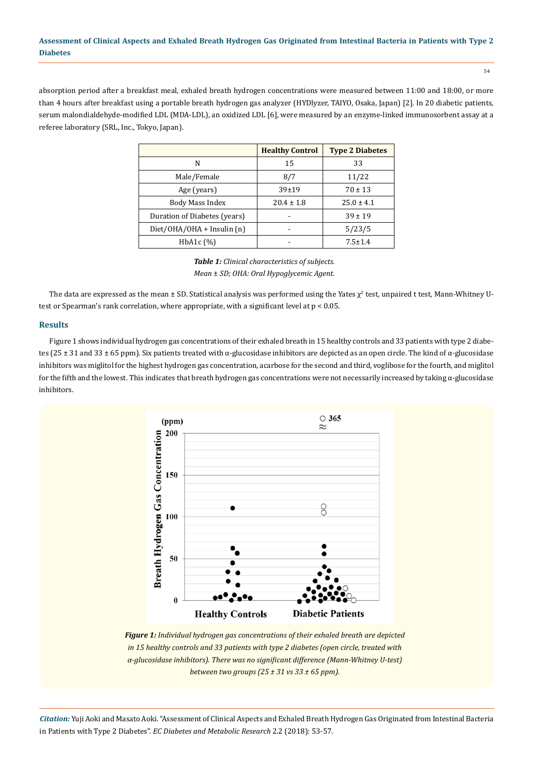54

absorption period after a breakfast meal, exhaled breath hydrogen concentrations were measured between 11:00 and 18:00, or more than 4 hours after breakfast using a portable breath hydrogen gas analyzer (HYDlyzer, TAIYO, Osaka, Japan) [2]. In 20 diabetic patients, serum malondialdehyde-modified LDL (MDA-LDL), an oxidized LDL [6], were measured by an enzyme-linked immunosorbent assay at a referee laboratory (SRL, Inc., Tokyo, Japan).

|                              | <b>Healthy Control</b> | <b>Type 2 Diabetes</b> |  |
|------------------------------|------------------------|------------------------|--|
| N                            | 15                     | 33                     |  |
| Male/Female                  | 8/7                    | 11/22                  |  |
| Age (years)                  | $39 + 19$              | $70 \pm 13$            |  |
| Body Mass Index              | $20.4 \pm 1.8$         | $25.0 \pm 4.1$         |  |
| Duration of Diabetes (years) |                        | $39 \pm 19$            |  |
| Diet/OHA/OHA + Insulin (n)   |                        | 5/23/5                 |  |
| HbA <sub>1</sub> c $(\%)$    |                        | $7.5 \pm 1.4$          |  |

*Table 1: Clinical characteristics of subjects. Mean* ± *SD; OHA: Oral Hypoglycemic Agent.*

The data are expressed as the mean ± SD. Statistical analysis was performed using the Yates  $\chi^2$  test, unpaired t test, Mann-Whitney Utest or Spearman's rank correlation, where appropriate, with a significant level at p < 0.05.

## **Results**

Figure 1 shows individual hydrogen gas concentrations of their exhaled breath in 15 healthy controls and 33 patients with type 2 diabetes (25  $\pm$  31 and 33  $\pm$  65 ppm). Six patients treated with α-glucosidase inhibitors are depicted as an open circle. The kind of α-glucosidase inhibitors was miglitol for the highest hydrogen gas concentration, acarbose for the second and third, voglibose for the fourth, and miglitol for the fifth and the lowest. This indicates that breath hydrogen gas concentrations were not necessarily increased by taking α-glucosidase inhibitors.



*Figure 1: Individual hydrogen gas concentrations of their exhaled breath are depicted in 15 healthy controls and 33 patients with type 2 diabetes (open circle, treated with α-glucosidase inhibitors). There was no significant difference (Mann-Whitney U-test) between two groups (25 ± 31 vs 33 ± 65 ppm).*

*Citation:* Yuji Aoki and Masato Aoki. "Assessment of Clinical Aspects and Exhaled Breath Hydrogen Gas Originated from Intestinal Bacteria in Patients with Type 2 Diabetes". *EC Diabetes and Metabolic Research* 2.2 (2018): 53-57.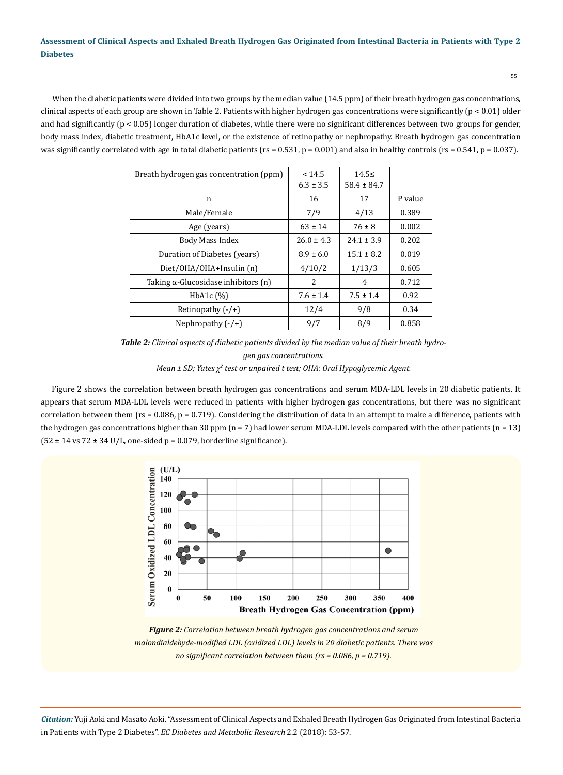When the diabetic patients were divided into two groups by the median value (14.5 ppm) of their breath hydrogen gas concentrations, clinical aspects of each group are shown in Table 2. Patients with higher hydrogen gas concentrations were significantly ( $p < 0.01$ ) older and had significantly (p < 0.05) longer duration of diabetes, while there were no significant differences between two groups for gender, body mass index, diabetic treatment, HbA1c level, or the existence of retinopathy or nephropathy. Breath hydrogen gas concentration was significantly correlated with age in total diabetic patients ( $rs = 0.531$ ,  $p = 0.001$ ) and also in healthy controls ( $rs = 0.541$ ,  $p = 0.037$ ).

| Breath hydrogen gas concentration (ppm)     | < 14.5<br>$6.3 \pm 3.5$ | $14.5 \le$<br>$58.4 \pm 84.7$ |         |
|---------------------------------------------|-------------------------|-------------------------------|---------|
| n                                           | 16                      | 17                            | P value |
| Male/Female                                 | 7/9                     | 4/13                          | 0.389   |
| Age (years)                                 | $63 \pm 14$             | $76 \pm 8$                    | 0.002   |
| Body Mass Index                             | $26.0 \pm 4.3$          | $24.1 \pm 3.9$                | 0.202   |
| Duration of Diabetes (years)                | $8.9 \pm 6.0$           | $15.1 \pm 8.2$                | 0.019   |
| Diet/OHA/OHA+Insulin (n)                    | 4/10/2                  | 1/13/3                        | 0.605   |
| Taking $\alpha$ -Glucosidase inhibitors (n) | 2                       | 4                             | 0.712   |
| HbA <sub>1</sub> c $(\%)$                   | $7.6 \pm 1.4$           | $7.5 \pm 1.4$                 | 0.92    |
| Retinopathy $(-/+)$                         | 12/4                    | 9/8                           | 0.34    |
| Nephropathy $(-/+)$                         | 9/7                     | 8/9                           | 0.858   |

*Table 2: Clinical aspects of diabetic patients divided by the median value of their breath hydrogen gas concentrations. Mean ± SD; Yates χ<sup>2</sup> test or unpaired t test; OHA: Oral Hypoglycemic Agent.* 

Figure 2 shows the correlation between breath hydrogen gas concentrations and serum MDA-LDL levels in 20 diabetic patients. It appears that serum MDA-LDL levels were reduced in patients with higher hydrogen gas concentrations, but there was no significant correlation between them ( $rs = 0.086$ ,  $p = 0.719$ ). Considering the distribution of data in an attempt to make a difference, patients with the hydrogen gas concentrations higher than 30 ppm (n = 7) had lower serum MDA-LDL levels compared with the other patients (n = 13)  $(52 \pm 14 \text{ vs } 72 \pm 34 \text{ U/L})$ , one-sided p = 0.079, borderline significance).



*Figure 2: Correlation between breath hydrogen gas concentrations and serum malondialdehyde-modified LDL (oxidized LDL) levels in 20 diabetic patients. There was no significant correlation between them (rs = 0.086, p = 0.719).*

*Citation:* Yuji Aoki and Masato Aoki. "Assessment of Clinical Aspects and Exhaled Breath Hydrogen Gas Originated from Intestinal Bacteria in Patients with Type 2 Diabetes". *EC Diabetes and Metabolic Research* 2.2 (2018): 53-57.

55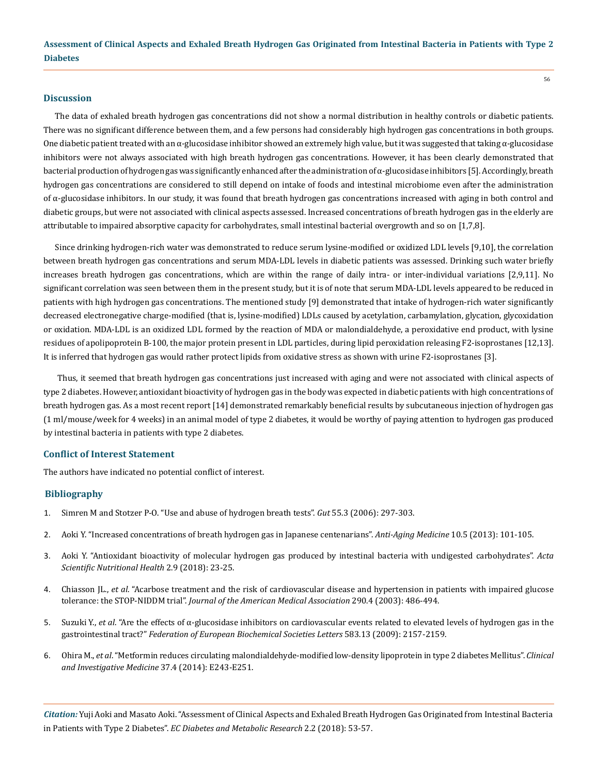#### **Discussion**

The data of exhaled breath hydrogen gas concentrations did not show a normal distribution in healthy controls or diabetic patients. There was no significant difference between them, and a few persons had considerably high hydrogen gas concentrations in both groups. One diabetic patient treated with an  $\alpha$ -glucosidase inhibitor showed an extremely high value, but it was suggested that taking  $\alpha$ -glucosidase inhibitors were not always associated with high breath hydrogen gas concentrations. However, it has been clearly demonstrated that bacterial production of hydrogen gas was significantly enhanced after the administration of α-glucosidase inhibitors [5]. Accordingly, breath hydrogen gas concentrations are considered to still depend on intake of foods and intestinal microbiome even after the administration of α-glucosidase inhibitors. In our study, it was found that breath hydrogen gas concentrations increased with aging in both control and diabetic groups, but were not associated with clinical aspects assessed. Increased concentrations of breath hydrogen gas in the elderly are attributable to impaired absorptive capacity for carbohydrates, small intestinal bacterial overgrowth and so on [1,7,8].

Since drinking hydrogen-rich water was demonstrated to reduce serum lysine-modified or oxidized LDL levels [9,10], the correlation between breath hydrogen gas concentrations and serum MDA-LDL levels in diabetic patients was assessed. Drinking such water briefly increases breath hydrogen gas concentrations, which are within the range of daily intra- or inter-individual variations [2,9,11]. No significant correlation was seen between them in the present study, but it is of note that serum MDA-LDL levels appeared to be reduced in patients with high hydrogen gas concentrations. The mentioned study [9] demonstrated that intake of hydrogen-rich water significantly decreased electronegative charge-modified (that is, lysine-modified) LDLs caused by acetylation, carbamylation, glycation, glycoxidation or oxidation. MDA-LDL is an oxidized LDL formed by the reaction of MDA or malondialdehyde, a peroxidative end product, with lysine residues of apolipoprotein B-100, the major protein present in LDL particles, during lipid peroxidation releasing F2-isoprostanes [12,13]. It is inferred that hydrogen gas would rather protect lipids from oxidative stress as shown with urine F2-isoprostanes [3].

 Thus, it seemed that breath hydrogen gas concentrations just increased with aging and were not associated with clinical aspects of type 2 diabetes. However, antioxidant bioactivity of hydrogen gas in the body was expected in diabetic patients with high concentrations of breath hydrogen gas. As a most recent report [14] demonstrated remarkably beneficial results by subcutaneous injection of hydrogen gas (1 ml/mouse/week for 4 weeks) in an animal model of type 2 diabetes, it would be worthy of paying attention to hydrogen gas produced by intestinal bacteria in patients with type 2 diabetes.

#### **Conflict of Interest Statement**

The authors have indicated no potential conflict of interest.

#### **Bibliography**

- 1. [Simren M and Stotzer P-O. "Use and abuse of hydrogen breath tests".](https://www.ncbi.nlm.nih.gov/pmc/articles/PMC1856094/) *Gut* 55.3 (2006): 297-303.
- 2. [Aoki Y. "Increased concentrations of breath hydrogen gas in Japanese centenarians".](http://www.academia.edu/13578182/Increased_Concentrations_of_Breath_Hydrogen_Gas_in_Japanese_Centenarians) *Anti-Aging Medicine* 10.5 (2013): 101-105.
- 3. [Aoki Y. "Antioxidant bioactivity of molecular hydrogen gas produced by intestinal bacteria with undigested carbohydrates".](https://actascientific.com/ASNH/pdf/ASNH-02-0124.pdf) *Acta [Scientific Nutritional Health](https://actascientific.com/ASNH/pdf/ASNH-02-0124.pdf)* 2.9 (2018): 23-25.
- 4. Chiasson JL., *et al*[. "Acarbose treatment and the risk of cardiovascular disease and hypertension in patients with impaired glucose](https://www.ncbi.nlm.nih.gov/pubmed/12876091)  tolerance: the STOP-NIDDM trial". *[Journal of the American Medical Association](https://www.ncbi.nlm.nih.gov/pubmed/12876091)* 290.4 (2003): 486-494.
- 5. Suzuki Y., *et al*[. "Are the effects of α-glucosidase inhibitors on cardiovascular events related to elevated levels of hydrogen gas in the](https://www.ncbi.nlm.nih.gov/pubmed/19505462)  gastrointestinal tract?" *[Federation of European Biochemical Societies Letters](https://www.ncbi.nlm.nih.gov/pubmed/19505462)* 583.13 (2009): 2157-2159.
- 6. Ohira M., *et al*[. "Metformin reduces circulating malondialdehyde-modified low-density lipoprotein in type 2 diabetes Mellitus".](https://www.ncbi.nlm.nih.gov/pubmed/25090264) *Clinical [and Investigative Medicine](https://www.ncbi.nlm.nih.gov/pubmed/25090264)* 37.4 (2014): E243-E251.

*Citation:* Yuji Aoki and Masato Aoki. "Assessment of Clinical Aspects and Exhaled Breath Hydrogen Gas Originated from Intestinal Bacteria in Patients with Type 2 Diabetes". *EC Diabetes and Metabolic Research* 2.2 (2018): 53-57.

56